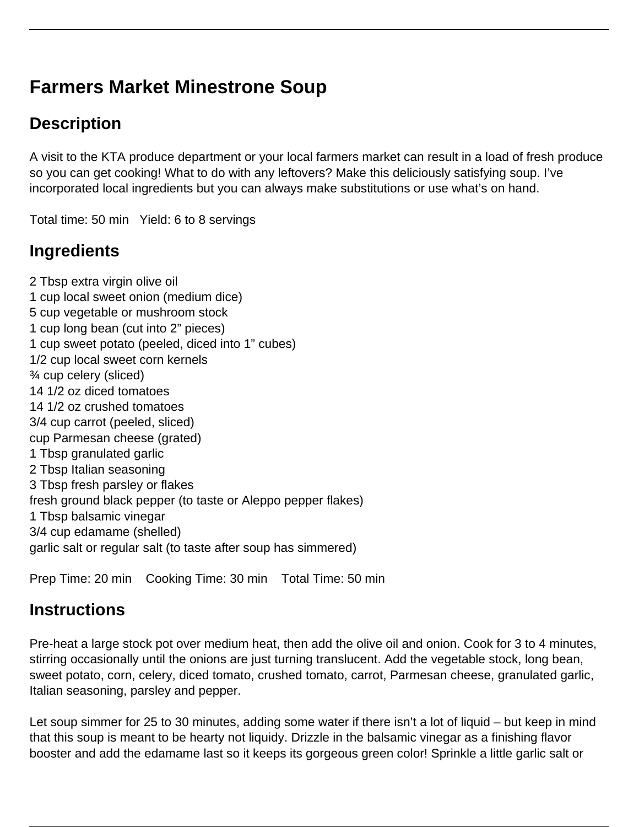# **Farmers Market Minestrone Soup**

## **Description**

A visit to the KTA produce department or your local farmers market can result in a load of fresh produce so you can get cooking! What to do with any leftovers? Make this deliciously satisfying soup. I've incorporated local ingredients but you can always make substitutions or use what's on hand.

Total time: 50 min Yield: 6 to 8 servings

## **Ingredients**

2 Tbsp extra virgin olive oil 1 cup local sweet onion (medium dice) 5 cup vegetable or mushroom stock 1 cup long bean (cut into 2" pieces) 1 cup sweet potato (peeled, diced into 1" cubes) 1/2 cup local sweet corn kernels ¾ cup celery (sliced) 14 1/2 oz diced tomatoes 14 1/2 oz crushed tomatoes 3/4 cup carrot (peeled, sliced) cup Parmesan cheese (grated) 1 Tbsp granulated garlic 2 Tbsp Italian seasoning 3 Tbsp fresh parsley or flakes fresh ground black pepper (to taste or Aleppo pepper flakes) 1 Tbsp balsamic vinegar 3/4 cup edamame (shelled) garlic salt or regular salt (to taste after soup has simmered)

Prep Time: 20 min Cooking Time: 30 min Total Time: 50 min

### **Instructions**

Pre-heat a large stock pot over medium heat, then add the olive oil and onion. Cook for 3 to 4 minutes, stirring occasionally until the onions are just turning translucent. Add the vegetable stock, long bean, sweet potato, corn, celery, diced tomato, crushed tomato, carrot, Parmesan cheese, granulated garlic, Italian seasoning, parsley and pepper.

Let soup simmer for 25 to 30 minutes, adding some water if there isn't a lot of liquid – but keep in mind that this soup is meant to be hearty not liquidy. Drizzle in the balsamic vinegar as a finishing flavor booster and add the edamame last so it keeps its gorgeous green color! Sprinkle a little garlic salt or